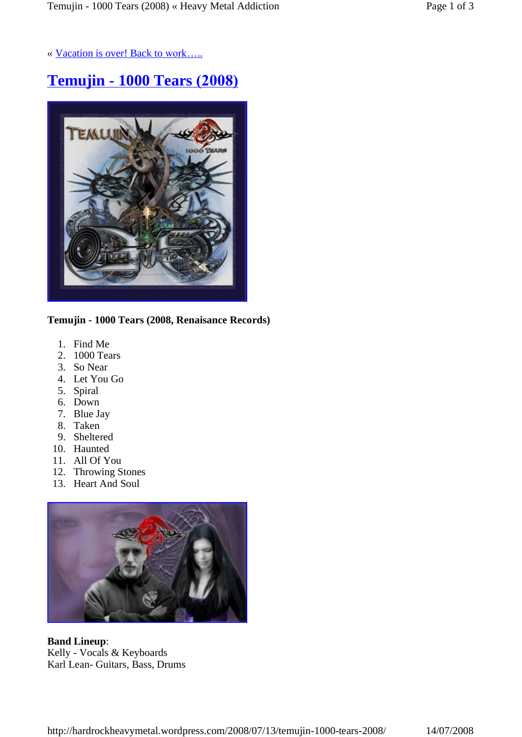« Vacation is over! Back to work.....

# **Temujin - 1000 Tears (2008)**



**Temujin - 1000 Tears (2008, Renaisance Records)**

- 1. Find Me
- 2. 1000 Tears
- 3. So Near
- 4. Let You Go
- 5. Spiral
- 6. Down
- 7. Blue Jay
- 8. Taken
- 9. Sheltered
- 10. Haunted
- 11. All Of You
- 12. Throwing Stones
- 13. Heart And Soul



**Band Lineup**: Kelly -Vocals & Keyboards Karl Lean- Guitars, Bass, Drums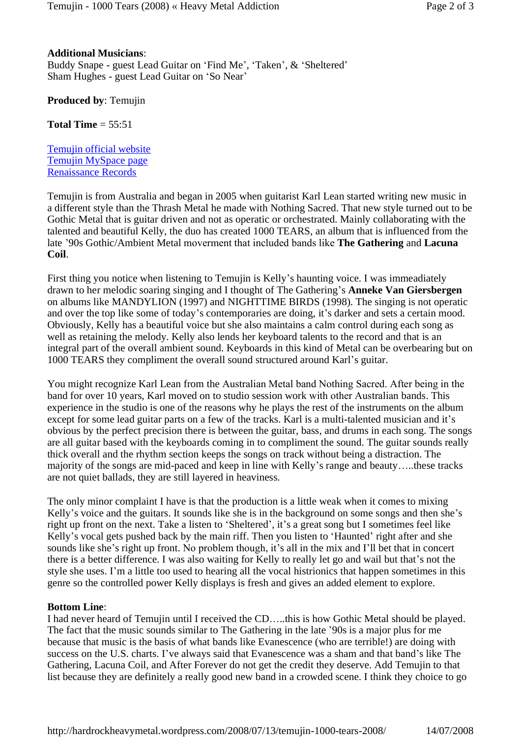## **Additional Musicians**:

Buddy Snape - guest Lead Guitar on 'Find Me', 'Taken', & 'Sheltered' Sham Hughes - guest Lead Guitar on 'So Near'

**Produced by**: Temujin

**Total Time** = 55:51

Temujin official website Temujin MySpace page Renaissance Records

Temujin is from Australia and began in 2005 when guitarist Karl Lean started writing new music in a different style than the Thrash Metal he made with Nothing Sacred. That new style turned out to be Gothic Metal that is guitar driven and not as operatic or orchestrated. Mainly collaborating with the talented and beautiful Kelly, the duo has created 1000 TEARS, an album that is influenced from the late í90s Gothic/Ambient Metal moverment that included bands like **The Gathering** and **Lacuna Coil**.

First thing you notice when listening to Temujin is Kelly's haunting voice. I was immeadiately drawn to her melodic soaring singing and I thought of The Gathering's **Anneke Van Giersbergen** on albums like MANDYLION (1997) and NIGHTTIME BIRDS (1998). The singing is not operatic and over the top like some of today's contemporaries are doing, it's darker and sets a certain mood. Obviously, Kelly has a beautiful voice but she also maintains a calm control during each song as well as retaining the melody. Kelly also lends her keyboard talents to the record and that is an integral part of the overall ambient sound. Keyboards in this kind of Metal can be overbearing but on 1000 TEARS they compliment the overall sound structured around Karl's guitar.

You might recognize Karl Lean from the Australian Metal band Nothing Sacred. After being in the band for over 10 years, Karl moved on to studio session work with other Australian bands. This experience in the studio is one of the reasons why he plays the rest of the instruments on the album except for some lead guitar parts on a few of the tracks. Karl is a multi-talented musician and it's obvious by the perfect precision there is between the guitar, bass, and drums in each song. The songs are all guitar based with the keyboards coming in to compliment the sound. The guitar sounds really thick overall and the rhythm section keeps the songs on track without being a distraction. The majority of the songs are mid-paced and keep in line with Kelly's range and beauty.....these tracks are not quiet ballads, they are still layered in heaviness.

The only minor complaint I have is that the production is a little weak when it comes to mixing Kelly's voice and the guitars. It sounds like she is in the background on some songs and then she's right up front on the next. Take a listen to 'Sheltered', it's a great song but I sometimes feel like Kelly's vocal gets pushed back by the main riff. Then you listen to 'Haunted' right after and she sounds like she's right up front. No problem though, it's all in the mix and I'll bet that in concert there is a better difference. I was also waiting for Kelly to really let go and wail but that's not the style she uses. I'm a little too used to hearing all the vocal histrionics that happen sometimes in this genre so the controlled power Kelly displays is fresh and gives an added element to explore.

## **Bottom Line**:

I had never heard of Temujin until I received the CD....this is how Gothic Metal should be played. The fact that the music sounds similar to The Gathering in the late '90s is a major plus for me because that music is the basis of what bands like Evanescence (who are terrible!) are doing with success on the U.S. charts. I've always said that Evanescence was a sham and that band's like The Gathering, Lacuna Coil, and After Forever do not get the credit they deserve. Add Temujin to that list because they are definitely a really good new band in a crowded scene. I think they choice to go